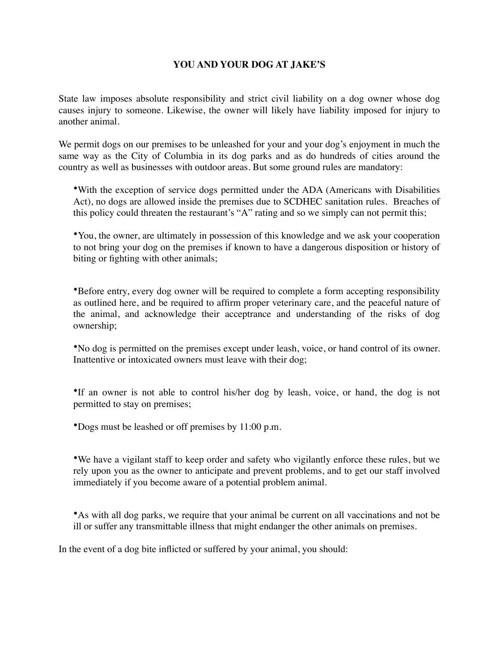## **YOU AND YOUR DOG AT JAKE'S**

State law imposes absolute responsibility and strict civil liability on a dog owner whose dog causes injury to someone. Likewise, the owner will likely have liability imposed for injury to another animal.

We permit dogs on our premises to be unleashed for your and your dog's enjoyment in much the same way as the City of Columbia in its dog parks and as do hundreds of cities around the country as well as businesses with outdoor areas. But some ground rules are mandatory:

•With the exception of service dogs permitted under the ADA (Americans with Disabilities Act), no dogs are allowed inside the premises due to SCDHEC sanitation rules. Breaches of this policy could threaten the restaurant's "A" rating and so we simply can not permit this;

•You, the owner, are ultimately in possession of this knowledge and we ask your cooperation to not bring your dog on the premises if known to have a dangerous disposition or history of biting or fighting with other animals;

•Before entry, every dog owner will be required to complete a form accepting responsibility as outlined here, and be required to affirm proper veterinary care, and the peaceful nature of the animal, and acknowledge their acceptrance and understanding of the risks of dog ownership;

•No dog is permitted on the premises except under leash, voice, or hand control of its owner. Inattentive or intoxicated owners must leave with their dog;

•If an owner is not able to control his/her dog by leash, voice, or hand, the dog is not permitted to stay on premises;

•Dogs must be leashed or off premises by 11:00 p.m.

•We have a vigilant staff to keep order and safety who vigilantly enforce these rules, but we rely upon you as the owner to anticipate and prevent problems, and to get our staff involved immediately if you become aware of a potential problem animal.

•As with all dog parks, we require that your animal be current on all vaccinations and not be ill or suffer any transmittable illness that might endanger the other animals on premises.

In the event of a dog bite inflicted or suffered by your animal, you should: